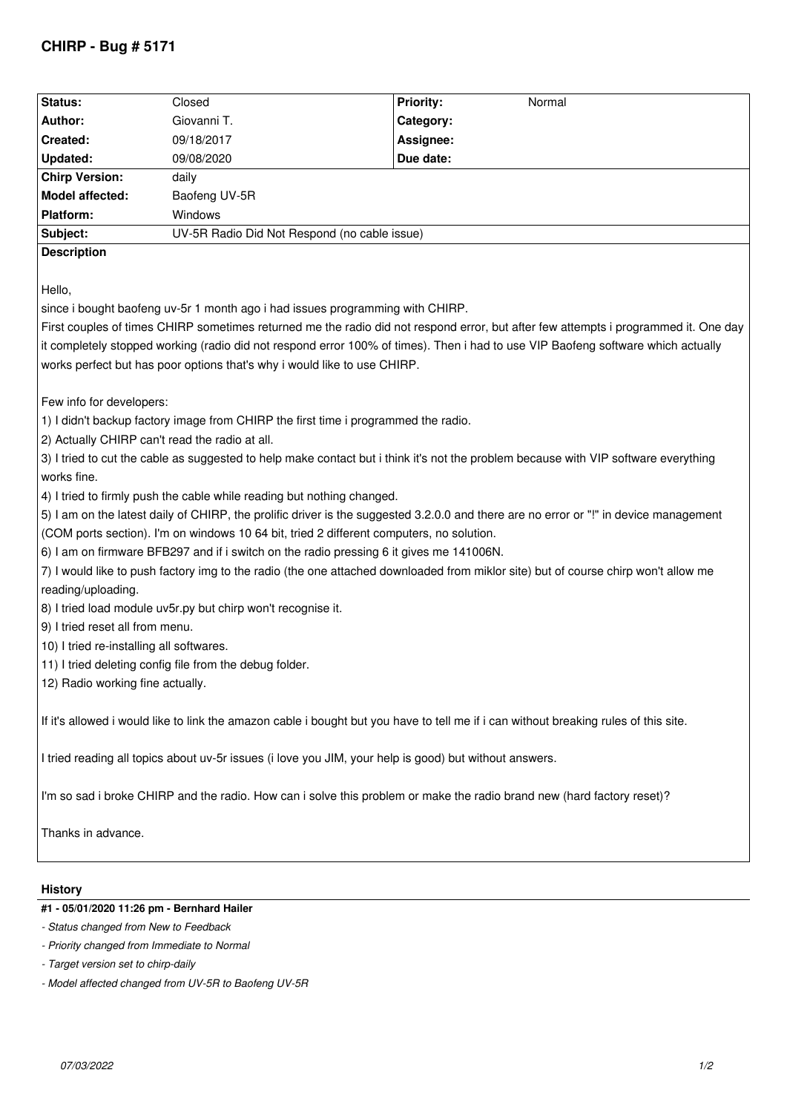# **CHIRP - Bug # 5171**

| Status:               | Closed                                       | <b>Priority:</b> | Normal |
|-----------------------|----------------------------------------------|------------------|--------|
| Author:               | Giovanni T.                                  | Category:        |        |
| Created:              | 09/18/2017                                   | Assignee:        |        |
| Updated:              | 09/08/2020                                   | Due date:        |        |
| <b>Chirp Version:</b> | daily                                        |                  |        |
| Model affected:       | Baofeng UV-5R                                |                  |        |
| Platform:             | <b>Windows</b>                               |                  |        |
| Subject:              | UV-5R Radio Did Not Respond (no cable issue) |                  |        |
| <b>Description</b>    |                                              |                  |        |

*Hello,*

*since i bought baofeng uv-5r 1 month ago i had issues programming with CHIRP.* 

*First couples of times CHIRP sometimes returned me the radio did not respond error, but after few attempts i programmed it. One day it completely stopped working (radio did not respond error 100% of times). Then i had to use VIP Baofeng software which actually works perfect but has poor options that's why i would like to use CHIRP.*

*Few info for developers:*

*1) I didn't backup factory image from CHIRP the first time i programmed the radio.*

*2) Actually CHIRP can't read the radio at all.*

*3) I tried to cut the cable as suggested to help make contact but i think it's not the problem because with VIP software everything works fine.*

*4) I tried to firmly push the cable while reading but nothing changed.*

*5) I am on the latest daily of CHIRP, the prolific driver is the suggested 3.2.0.0 and there are no error or "!" in device management (COM ports section). I'm on windows 10 64 bit, tried 2 different computers, no solution.*

*6) I am on firmware BFB297 and if i switch on the radio pressing 6 it gives me 141006N.*

*7) I would like to push factory img to the radio (the one attached downloaded from miklor site) but of course chirp won't allow me reading/uploading.*

*8) I tried load module uv5r.py but chirp won't recognise it.*

*9) I tried reset all from menu.*

*10) I tried re-installing all softwares.*

*11) I tried deleting config file from the debug folder.*

*12) Radio working fine actually.*

*If it's allowed i would like to link the amazon cable i bought but you have to tell me if i can without breaking rules of this site.*

*I tried reading all topics about uv-5r issues (i love you JIM, your help is good) but without answers.*

*I'm so sad i broke CHIRP and the radio. How can i solve this problem or make the radio brand new (hard factory reset)?*

*Thanks in advance.*

## **History**

## **#1 - 05/01/2020 11:26 pm - Bernhard Hailer**

*- Status changed from New to Feedback*

*- Priority changed from Immediate to Normal*

*<sup>-</sup> Target version set to chirp-daily*

*<sup>-</sup> Model affected changed from UV-5R to Baofeng UV-5R*